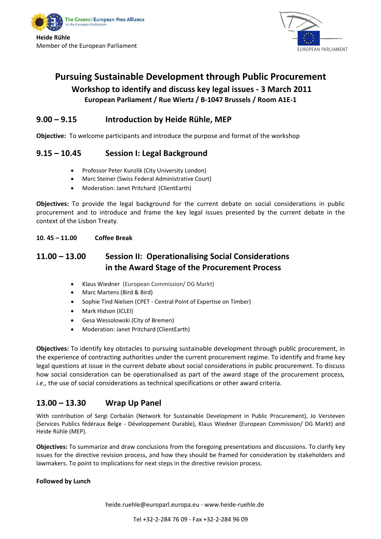



## **Pursuing Sustainable Development through Public Procurement**

## **Workshop to identify and discuss key legal issues ‐ 3 March 2011 European Parliament / Rue Wiertz / B‐1047 Brussels / Room A1E‐1**

## **9.00 – 9.15 Introduction by Heide Rühle, MEP**

**Objective:** To welcome participants and introduce the purpose and format of the workshop

## **9.15 – 10.45 Session I: Legal Background**

- Professor Peter Kunzlik (City University London)
- Marc Steiner (Swiss Federal Administrative Court)
- Moderation: Janet Pritchard (ClientEarth)

**Objectives:** To provide the legal background for the current debate on social considerations in public procurement and to introduce and frame the key legal issues presented by the current debate in the context of the Lisbon Treaty.

#### **10. 45 – 11.00 Coffee Break**

## **11.00 – 13.00 Session II: Operationalising Social Considerations in the Award Stage of the Procurement Process**

- Klaus Wiedner (European Commission/ DG Markt)
- Marc Martens (Bird & Bird)
- Sophie Tind Nielsen (CPET ‐ Central Point of Expertise on Timber)
- Mark Hidson (ICLEI)
- Gesa Wessolowski (City of Bremen)
- Moderation: Janet Pritchard (ClientEarth)

**Objectives:** To identify key obstacles to pursuing sustainable development through public procurement, in the experience of contracting authorities under the current procurement regime. To identify and frame key legal questions at issue in the current debate about social considerations in public procurement. To discuss how social consideration can be operationalised as part of the award stage of the procurement process*, i.e.,* the use of social considerations as technical specifications or other award criteria.

## **13.00 – 13.30 Wrap Up Panel**

With contribution of Sergi Corbalán (Network for Sustainable Development in Public Procurement), Jo Versteven (Services Publics fédéraux Belge ‐ Développement Durable), Klaus Wiedner (European Commission/ DG Markt) and Heide Rühle (MEP).

**Objectives:** To summarize and draw conclusions from the foregoing presentations and discussions. To clarify key issues for the directive revision process, and how they should be framed for consideration by stakeholders and lawmakers. To point to implications for next steps in the directive revision process.

#### **Followed by Lunch**

heide.ruehle@europarl.europa.eu ‐ www.heide‐ruehle.de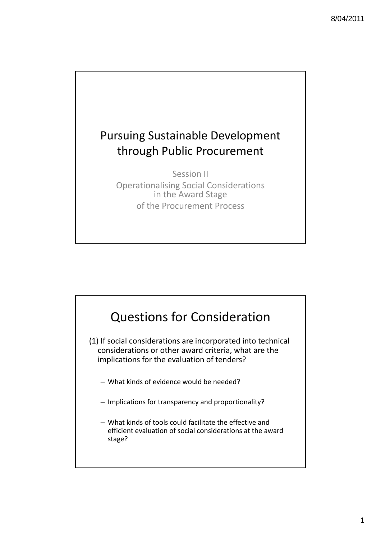

Session II Operationalising Social Considerations in the Award Stage of the Procurement Process



(1) If social considerations are incorporated into technical considerations or other award criteria, what are the implications for the evaluation of tenders?

- What kinds of evidence would be needed?
- Implications for transparency and proportionality?
- What kinds of tools could facilitate the effective and efficient evaluation of social considerations at the award stage?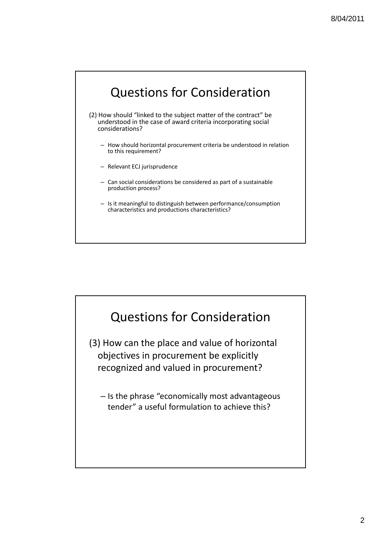# Questions for Consideration

- (2) How should "linked to the subject matter of the contract" be understood in the case of award criteria incorporating social considerations?
	- How should horizontal procurement criteria be understood in relation to this requirement?
	- Relevant ECJ jurisprudence
	- Can social considerations be considered as part of a sustainable production process?
	- Is it meaningful to distinguish between performance/consumption characteristics and productions characteristics?

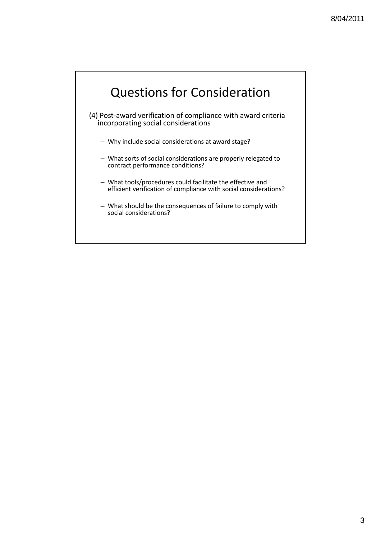# Questions for Consideration

- (4) Post‐award verification of compliance with award criteria incorporating social considerations
	- Why include social considerations at award stage?
	- What sorts of social considerations are properly relegated to contract performance conditions?
	- What tools/procedures could facilitate the effective and efficient verification of compliance with social considerations?
	- What should be the consequences of failure to comply with social considerations?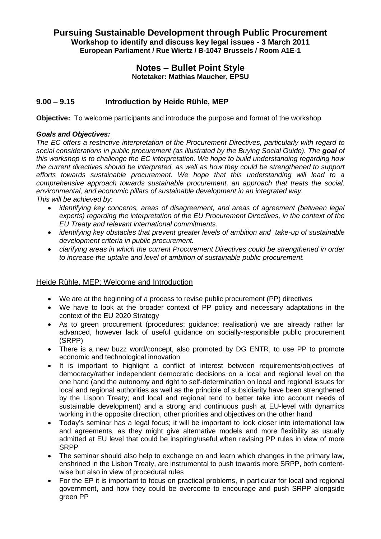### **Pursuing Sustainable Development through Public Procurement Workshop to identify and discuss key legal issues - 3 March 2011 European Parliament / Rue Wiertz / B-1047 Brussels / Room A1E-1**

#### **Notes – Bullet Point Style Notetaker: Mathias Maucher, EPSU**

### **9.00 – 9.15 Introduction by Heide Rühle, MEP**

**Objective:** To welcome participants and introduce the purpose and format of the workshop

#### *Goals and Objectives:*

*The EC offers a restrictive interpretation of the Procurement Directives, particularly with regard to social considerations in public procurement (as illustrated by the Buying Social Guide). The goal of this workshop is to challenge the EC interpretation. We hope to build understanding regarding how the current directives should be interpreted, as well as how they could be strengthened to support efforts towards sustainable procurement. We hope that this understanding will lead to a comprehensive approach towards sustainable procurement, an approach that treats the social, environmental, and economic pillars of sustainable development in an integrated way. This will be achieved by:*

- *identifying key concerns, areas of disagreement, and areas of agreement (between legal experts) regarding the interpretation of the EU Procurement Directives, in the context of the EU Treaty and relevant international commitments.*
- *identifying key obstacles that prevent greater levels of ambition and take-up of sustainable development criteria in public procurement.*
- *clarifying areas in which the current Procurement Directives could be strengthened in order to increase the uptake and level of ambition of sustainable public procurement.*

#### Heide Rühle, MEP: Welcome and Introduction

- We are at the beginning of a process to revise public procurement (PP) directives
- We have to look at the broader context of PP policy and necessary adaptations in the context of the EU 2020 Strategy
- As to green procurement (procedures; guidance; realisation) we are already rather far advanced, however lack of useful guidance on socially-responsible public procurement (SRPP)
- There is a new buzz word/concept, also promoted by DG ENTR, to use PP to promote economic and technological innovation
- It is important to highlight a conflict of interest between requirements/objectives of democracy/rather independent democratic decisions on a local and regional level on the one hand (and the autonomy and right to self-determination on local and regional issues for local and regional authorities as well as the principle of subsidiarity have been strengthened by the Lisbon Treaty; and local and regional tend to better take into account needs of sustainable development) and a strong and continuous push at EU-level with dynamics working in the opposite direction, other priorities and objectives on the other hand
- Today's seminar has a legal focus; it will be important to look closer into international law and agreements, as they might give alternative models and more flexibility as usually admitted at EU level that could be inspiring/useful when revising PP rules in view of more SRPP
- The seminar should also help to exchange on and learn which changes in the primary law, enshrined in the Lisbon Treaty, are instrumental to push towards more SRPP, both contentwise but also in view of procedural rules
- For the EP it is important to focus on practical problems, in particular for local and regional government, and how they could be overcome to encourage and push SRPP alongside green PP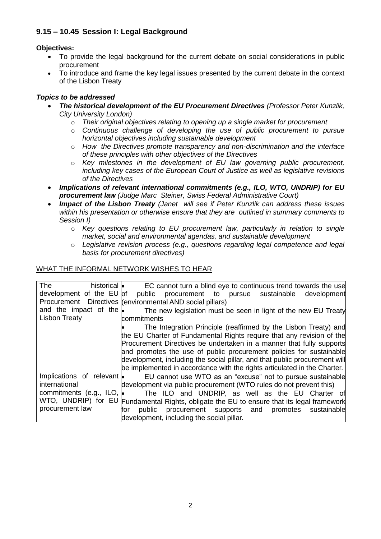## **9.15 – 10.45 Session I: Legal Background**

### **Objectives:**

- To provide the legal background for the current debate on social considerations in public procurement
- To introduce and frame the key legal issues presented by the current debate in the context of the Lisbon Treaty

### *Topics to be addressed*

- *The historical development of the EU Procurement Directives (Professor Peter Kunzlik, City University London)*
	- o *Their original objectives relating to opening up a single market for procurement*
	- o *Continuous challenge of developing the use of public procurement to pursue horizontal objectives including sustainable development*
	- o *How the Directives promote transparency and non-discrimination and the interface of these principles with other objectives of the Directives*
	- o *Key milestones in the development of EU law governing public procurement, including key cases of the European Court of Justice as well as legislative revisions of the Directives*
- *Implications of relevant international commitments (e.g., ILO, WTO, UNDRIP) for EU procurement law (Judge Marc Steiner, Swiss Federal Administrative Court)*
- *Impact of the Lisbon Treaty (Janet will see if Peter Kunzlik can address these issues within his presentation or otherwise ensure that they are outlined in summary comments to Session I)*
	- o *Key questions relating to EU procurement law, particularly in relation to single market, social and environmental agendas, and sustainable development*
	- o *Legislative revision process (e.g., questions regarding legal competence and legal basis for procurement directives)*

#### WHAT THE INFORMAL NETWORK WISHES TO HEAR

| <b>The</b><br>historical <b>.</b> | EC cannot turn a blind eye to continuous trend towards the use                             |
|-----------------------------------|--------------------------------------------------------------------------------------------|
| development of the EU of          | public procurement to pursue sustainable<br>development                                    |
|                                   | Procurement Directives (environmental AND social pillars)                                  |
| and the impact of the $\bullet$   | The new legislation must be seen in light of the new EU Treaty                             |
| Lisbon Treaty                     | commitments                                                                                |
|                                   | The Integration Principle (reaffirmed by the Lisbon Treaty) and                            |
|                                   | the EU Charter of Fundamental Rights require that any revision of the                      |
|                                   | Procurement Directives be undertaken in a manner that fully supports                       |
|                                   | and promotes the use of public procurement policies for sustainable                        |
|                                   | development, including the social pillar, and that public procurement will                 |
|                                   | be implemented in accordance with the rights articulated in the Charter.                   |
| Implications of relevant .        | EU cannot use WTO as an "excuse" not to pursue sustainable                                 |
| international                     | development via public procurement (WTO rules do not prevent this)                         |
| commitments (e.g., ILO, $\bullet$ | The ILO and UNDRIP, as well as the EU Charter of                                           |
|                                   | WTO, UNDRIP) for EU Fundamental Rights, obligate the EU to ensure that its legal framework |
| procurement law                   | public procurement supports and promotes sustainable<br>for                                |
|                                   | development, including the social pillar.                                                  |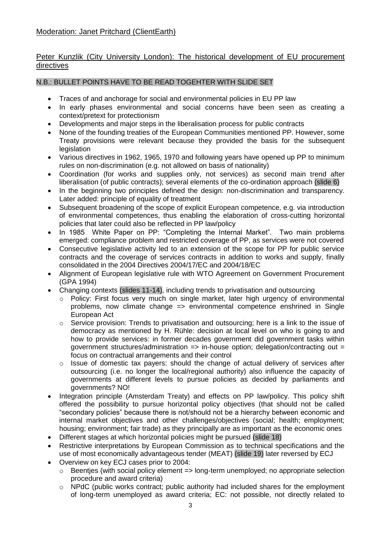## Moderation: Janet Pritchard (ClientEarth)

### Peter Kunzlik (City University London): The historical development of EU procurement directives

#### N.B.: BULLET POINTS HAVE TO BE READ TOGEHTER WITH SLIDE SET

- Traces of and anchorage for social and environmental policies in EU PP law
- In early phases environmental and social concerns have been seen as creating a context/pretext for protectionism
- Developments and major steps in the liberalisation process for public contracts
- None of the founding treaties of the European Communities mentioned PP. However, some Treaty provisions were relevant because they provided the basis for the subsequent legislation
- Various directives in 1962, 1965, 1970 and following years have opened up PP to minimum rules on non-discrimination (e.g. not allowed on basis of nationality)
- Coordination (for works and supplies only, not services) as second main trend after liberalisation (of public contracts); several elements of the co-ordination approach (slide 6)
- In the beginning two principles defined the design: non-discrimination and transparency. Later added: principle of equality of treatment
- Subsequent broadening of the scope of explicit European competence, e.g. via introduction of environmental competences, thus enabling the elaboration of cross-cutting horizontal policies that later could also be reflected in PP law/policy
- In 1985 White Paper on PP: "Completing the Internal Market". Two main problems emerged: compliance problem and restricted coverage of PP, as services were not covered
- Consecutive legislative activity led to an extension of the scope for PP for public service contracts and the coverage of services contracts in addition to works and supply, finally consolidated in the 2004 Directives 2004/17/EC and 2004/18/EC
- Alignment of European legislative rule with WTO Agreement on Government Procurement (GPA 1994)
- Changing contexts (slides 11-14), including trends to privatisation and outsourcing
	- $\circ$  Policy: First focus very much on single market, later high urgency of environmental problems, now climate change => environmental competence enshrined in Single European Act
	- o Service provision: Trends to privatisation and outsourcing; here is a link to the issue of democracy as mentioned by H. Rühle: decision at local level on who is going to and how to provide services: in former decades government did government tasks within government structures/administration  $\Rightarrow$  in-house option; delegation/contracting out  $=$ focus on contractual arrangements and their control
	- o Issue of domestic tax payers: should the change of actual delivery of services after outsourcing (i.e. no longer the local/regional authority) also influence the capacity of governments at different levels to pursue policies as decided by parliaments and governments? NO!
- Integration principle (Amsterdam Treaty) and effects on PP law/policy. This policy shift offered the possibility to pursue horizontal policy objectives (that should not be called "secondary policies" because there is not/should not be a hierarchy between economic and internal market objectives and other challenges/objectives (social; health; employment; housing; environment; fair trade) as they principally are as important as the economic ones
- Different stages at which horizontal policies might be pursued (slide 18)
- Restrictive interpretations by European Commission as to technical specifications and the use of most economically advantageous tender (MEAT) (slide 19) later reversed by ECJ
- Overview on key ECJ cases prior to 2004:
	- $\circ$  Beenties (with social policy element => long-term unemployed; no appropriate selection procedure and award criteria)
	- o NPdC (public works contract; public authority had included shares for the employment of long-term unemployed as award criteria; EC: not possible, not directly related to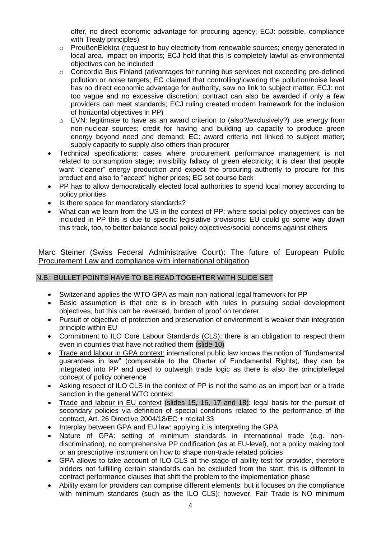offer, no direct economic advantage for procuring agency; ECJ: possible, compliance with Treaty principles)

- o PreußenElektra (request to buy electricity from renewable sources; energy generated in local area, impact on imports; ECJ held that this is completely lawful as environmental objectives can be included
- $\circ$  Concordia Bus Finland (advantages for running bus services not exceeding pre-defined pollution or noise targets; EC claimed that controlling/lowering the pollution/noise level has no direct economic advantage for authority, saw no link to subject matter; ECJ: not too vague and no excessive discretion; contract can also be awarded if only a few providers can meet standards; ECJ ruling created modern framework for the inclusion of horizontal objectives in PP)
- $\circ$  EVN: legitimate to have as an award criterion to (also?/exclusively?) use energy from non-nuclear sources; credit for having and building up capacity to produce green energy beyond need and demand; EC: award criteria not linked to subject matter; supply capacity to supply also others than procurer
- Technical specifications: cases where procurement performance management is not related to consumption stage; invisibility fallacy of green electricity; it is clear that people want "cleaner" energy production and expect the procuring authority to procure for this product and also to "accept" higher prices; EC set course back
- PP has to allow democratically elected local authorities to spend local money according to policy priorities
- Is there space for mandatory standards?
- What can we learn from the US in the context of PP: where social policy objectives can be included in PP this is due to specific legislative provisions; EU could go some way down this track, too, to better balance social policy objectives/social concerns against others

Marc Steiner (Swiss Federal Administrative Court): The future of European Public Procurement Law and compliance with international obligation

### N.B.: BULLET POINTS HAVE TO BE READ TOGEHTER WITH SLIDE SET

- Switzerland applies the WTO GPA as main non-national legal framework for PP
- Basic assumption is that one is in breach with rules in pursuing social development objectives, but this can be reversed, burden of proof on tenderer
- Pursuit of objective of protection and preservation of environment is weaker than integration principle within EU
- Commitment to ILO Core Labour Standards (CLS); there is an obligation to respect them even in counties that have not ratified them (slide 10)
- Trade and labour in GPA context: international public law knows the notion of "fundamental guarantees in law" (comparable to the Charter of Fundamental Rights), they can be integrated into PP and used to outweigh trade logic as there is also the principle/legal concept of policy coherence
- Asking respect of ILO CLS in the context of PP is not the same as an import ban or a trade sanction in the general WTO context
- Trade and labour in EU context (slides 15, 16, 17 and 18): legal basis for the pursuit of secondary policies via definition of special conditions related to the performance of the contract, Art. 26 Directive 2004/18/EC + recital 33
- Interplay between GPA and EU law: applying it is interpreting the GPA
- Nature of GPA: setting of minimum standards in international trade (e.g. nondiscrimination), no comprehensive PP codification (as at EU-level), not a policy making tool or an prescriptive instrument on how to shape non-trade related policies
- GPA allows to take account of ILO CLS at the stage of ability test for provider, therefore bidders not fulfilling certain standards can be excluded from the start; this is different to contract performance clauses that shift the problem to the implementation phase
- Ability exam for providers can comprise different elements, but it focuses on the compliance with minimum standards (such as the ILO CLS); however, Fair Trade is NO minimum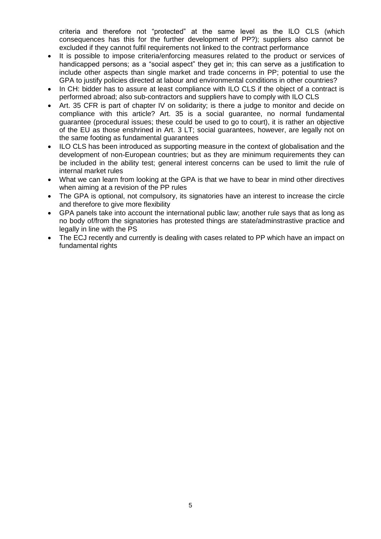criteria and therefore not "protected" at the same level as the ILO CLS (which consequences has this for the further development of PP?); suppliers also cannot be excluded if they cannot fulfil requirements not linked to the contract performance

- It is possible to impose criteria/enforcing measures related to the product or services of handicapped persons; as a "social aspect" they get in; this can serve as a justification to include other aspects than single market and trade concerns in PP; potential to use the GPA to justify policies directed at labour and environmental conditions in other countries?
- In CH: bidder has to assure at least compliance with ILO CLS if the object of a contract is performed abroad; also sub-contractors and suppliers have to comply with ILO CLS
- Art. 35 CFR is part of chapter IV on solidarity; is there a judge to monitor and decide on compliance with this article? Art. 35 is a social guarantee, no normal fundamental guarantee (procedural issues; these could be used to go to court), it is rather an objective of the EU as those enshrined in Art. 3 LT; social guarantees, however, are legally not on the same footing as fundamental guarantees
- ILO CLS has been introduced as supporting measure in the context of globalisation and the development of non-European countries; but as they are minimum requirements they can be included in the ability test; general interest concerns can be used to limit the rule of internal market rules
- What we can learn from looking at the GPA is that we have to bear in mind other directives when aiming at a revision of the PP rules
- The GPA is optional, not compulsory, its signatories have an interest to increase the circle and therefore to give more flexibility
- GPA panels take into account the international public law; another rule says that as long as no body of/from the signatories has protested things are state/adminstrastive practice and legally in line with the PS
- The ECJ recently and currently is dealing with cases related to PP which have an impact on fundamental rights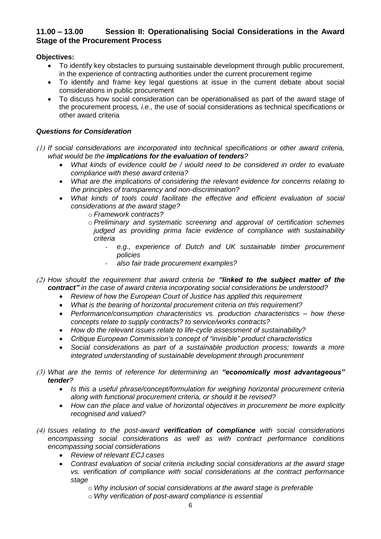### **11.00 – 13.00 Session II: Operationalising Social Considerations in the Award Stage of the Procurement Process**

#### **Objectives:**

- To identify key obstacles to pursuing sustainable development through public procurement, in the experience of contracting authorities under the current procurement regime
- To identify and frame key legal questions at issue in the current debate about social considerations in public procurement
- To discuss how social consideration can be operationalised as part of the award stage of the procurement process*, i.e.,* the use of social considerations as technical specifications or other award criteria

### *Questions for Consideration*

- *If social considerations are incorporated into technical specifications or other award criteria, what would be the implications for the evaluation of tenders?* 
	- *What kinds of evidence could be / would need to be considered in order to evaluate compliance with these award criteria?*
	- *What are the implications of considering the relevant evidence for concerns relating to the principles of transparency and non-discrimination?*
	- *What kinds of tools could facilitate the effective and efficient evaluation of social considerations at the award stage?* 
		- o *Framework contracts?*
		- o *Preliminary and systematic screening and approval of certification schemes judged as providing prima facie evidence of compliance with sustainability criteria* 
			- *e.g., experience of Dutch and UK sustainable timber procurement policies*
			- *also fair trade procurement examples?*
- *How should the requirement that award criteria be "linked to the subject matter of the contract" in the case of award criteria incorporating social considerations be understood?* 
	- *Review of how the European Court of Justice has applied this requirement*
	- *What is the bearing of horizontal procurement criteria on this requirement?*
	- *Performance/consumption characteristics vs. production characteristics – how these concepts relate to supply contracts? to service/works contracts?*
	- *How do the relevant issues relate to life-cycle assessment of sustainability?*
	- *Critique European Commission's concept of "invisible" product characteristics*
	- *Social considerations as part of a sustainable production process; towards a more integrated understanding of sustainable development through procurement*
- *What are the terms of reference for determining an "economically most advantageous" tender?* 
	- *Is this a useful phrase/concept/formulation for weighing horizontal procurement criteria along with functional procurement criteria, or should it be revised?*
	- *How can the place and value of horizontal objectives in procurement be more explicitly recognised and valued?*
- *Issues relating to the post-award verification of compliance with social considerations encompassing social considerations as well as with contract performance conditions encompassing social considerations* 
	- *Review of relevant ECJ cases*
	- *Contrast evaluation of social criteria including social considerations at the award stage vs. verification of compliance with social considerations at the contract performance stage* 
		- o *Why inclusion of social considerations at the award stage is preferable*
		- o *Why verification of post-award compliance is essential*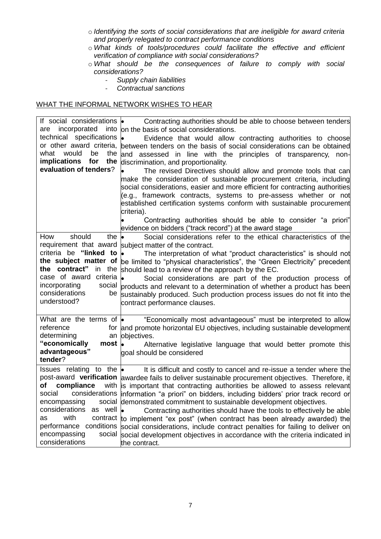- o *Identifying the sorts of social considerations that are ineligible for award criteria and properly relegated to contract performance conditions*
- o *What kinds of tools/procedures could facilitate the effective and efficient verification of compliance with social considerations?*
- o *What should be the consequences of failure to comply with social considerations?* 
	- *Supply chain liabilities*
	- *Contractual sanctions*

#### WHAT THE INFORMAL NETWORK WISHES TO HEAR

| If social considerations <b>le</b>              | Contracting authorities should be able to choose between tenders                                   |
|-------------------------------------------------|----------------------------------------------------------------------------------------------------|
| incorporated<br>into<br>are                     | on the basis of social considerations.                                                             |
| technical specifications                        | Evidence that would allow contracting authorities to choose                                        |
|                                                 | or other award criteria, between tenders on the basis of social considerations can be obtained     |
| what<br>would<br>be<br>the                      | and assessed in line with the principles of transparency, non-                                     |
| implications<br>for<br>the                      | discrimination, and proportionality.                                                               |
| evaluation of tenders?                          | The revised Directives should allow and promote tools that can                                     |
|                                                 | make the consideration of sustainable procurement criteria, including                              |
|                                                 | social considerations, easier and more efficient for contracting authorities                       |
|                                                 | (e.g., framework contracts, systems to pre-assess whether or not                                   |
|                                                 | established certification systems conform with sustainable procurement                             |
|                                                 | criteria).                                                                                         |
|                                                 | Contracting authorities should be able to consider "a priori"                                      |
|                                                 | evidence on bidders ("track record") at the award stage                                            |
| should<br>How<br>the                            | Social considerations refer to the ethical characteristics of the                                  |
|                                                 | requirement that award subject matter of the contract.                                             |
| criteria be "linked to                          | The interpretation of what "product characteristics" is should not<br>۱.                           |
|                                                 | the subject matter of be limited to "physical characteristics", the "Green Electricity" precedent  |
| the contract"<br>the<br>in<br>criteria          | should lead to a review of the approach by the EC.                                                 |
| case of award                                   | l.<br>Social considerations are part of the production process of                                  |
| incorporating<br>social<br>considerations<br>be | products and relevant to a determination of whether a product has been                             |
| understood?                                     | sustainably produced. Such production process issues do not fit into the                           |
|                                                 | contract performance clauses.                                                                      |
| What are the terms of $\bullet$                 | "Economically most advantageous" must be interpreted to allow                                      |
| reference                                       | for and promote horizontal EU objectives, including sustainable development                        |
| determining<br>an                               | objectives.                                                                                        |
| "economically<br>$most \cdot$                   | Alternative legislative language that would better promote this                                    |
| advantageous"                                   | goal should be considered                                                                          |
| tender?                                         |                                                                                                    |
| Issues relating to the $\bullet$                | It is difficult and costly to cancel and re-issue a tender where the                               |
|                                                 | post-award verification awardee fails to deliver sustainable procurement objectives. Therefore, it |
| compliance<br>оf                                | with is important that contracting authorities be allowed to assess relevant                       |
| social                                          | considerations information "a priori" on bidders, including bidders' prior track record or         |
| encompassing                                    | social demonstrated commitment to sustainable development objectives.                              |
| considerations as well .                        | Contracting authorities should have the tools to effectively be able                               |
| with<br>as                                      | contract to implement "ex post" (when contract has been already awarded) the                       |
|                                                 | performance conditions social considerations, include contract penalties for failing to deliver on |
| encompassing                                    | social social development objectives in accordance with the criteria indicated in                  |
| considerations                                  | the contract.                                                                                      |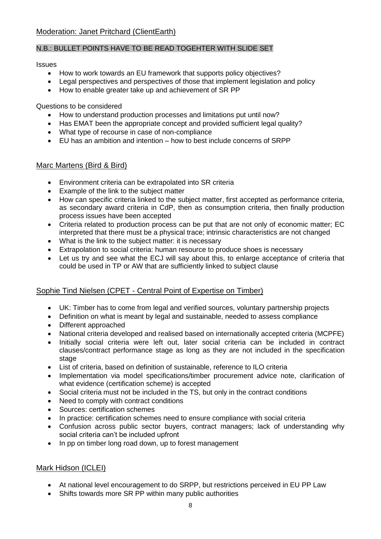### N.B.: BULLET POINTS HAVE TO BE READ TOGEHTER WITH SLIDE SET

#### **Issues**

- How to work towards an EU framework that supports policy objectives?
- Legal perspectives and perspectives of those that implement legislation and policy
- How to enable greater take up and achievement of SR PP

Questions to be considered

- How to understand production processes and limitations put until now?
- Has EMAT been the appropriate concept and provided sufficient legal quality?
- What type of recourse in case of non-compliance
- EU has an ambition and intention how to best include concerns of SRPP

### Marc Martens (Bird & Bird)

- Environment criteria can be extrapolated into SR criteria
- Example of the link to the subject matter
- How can specific criteria linked to the subject matter, first accepted as performance criteria, as secondary award criteria in CdP, then as consumption criteria, then finally production process issues have been accepted
- Criteria related to production process can be put that are not only of economic matter; EC interpreted that there must be a physical trace; intrinsic characteristics are not changed
- What is the link to the subject matter: it is necessary
- Extrapolation to social criteria: human resource to produce shoes is necessary
- Let us try and see what the ECJ will say about this, to enlarge acceptance of criteria that could be used in TP or AW that are sufficiently linked to subject clause

## Sophie Tind Nielsen (CPET - Central Point of Expertise on Timber)

- UK: Timber has to come from legal and verified sources, voluntary partnership projects
- Definition on what is meant by legal and sustainable, needed to assess compliance
- Different approached
- National criteria developed and realised based on internationally accepted criteria (MCPFE)
- Initially social criteria were left out, later social criteria can be included in contract clauses/contract performance stage as long as they are not included in the specification stage
- List of criteria, based on definition of sustainable, reference to ILO criteria
- Implementation via model specifications/timber procurement advice note, clarification of what evidence (certification scheme) is accepted
- Social criteria must not be included in the TS, but only in the contract conditions
- Need to comply with contract conditions
- Sources: certification schemes
- In practice: certification schemes need to ensure compliance with social criteria
- Confusion across public sector buyers, contract managers; lack of understanding why social criteria can't be included upfront
- In pp on timber long road down, up to forest management

## Mark Hidson (ICLEI)

- At national level encouragement to do SRPP, but restrictions perceived in EU PP Law
- Shifts towards more SR PP within many public authorities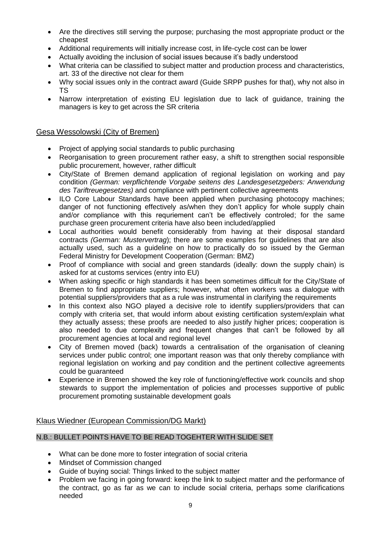- Are the directives still serving the purpose; purchasing the most appropriate product or the cheapest
- Additional requirements will initially increase cost, in life-cycle cost can be lower
- Actually avoiding the inclusion of social issues because it's badly understood
- What criteria can be classified to subject matter and production process and characteristics, art. 33 of the directive not clear for them
- Why social issues only in the contract award (Guide SRPP pushes for that), why not also in TS
- Narrow interpretation of existing EU legislation due to lack of guidance, training the managers is key to get across the SR criteria

### Gesa Wessolowski (City of Bremen)

- Project of applying social standards to public purchasing
- Reorganisation to green procurement rather easy, a shift to strengthen social responsible public procurement, however, rather difficult
- City/State of Bremen demand application of regional legislation on working and pay condition *(German: verpflichtende Vorgabe seitens des Landesgesetzgebers: Anwendung des Tariftreuegesetzes)* and compliance with pertinent collective agreements
- ILO Core Labour Standards have been applied when purchasing photocopy machines; danger of not functioning effectively as/when they don't applicy for whole supply chain and/or compliance with this requriement can't be effectively controled; for the same purchase green procurement criteria have also been included/applied
- Local authorities would benefit considerably from having at their disposal standard contracts *(German: Mustervertrag*); there are some examples for guidelines that are also actually used, such as a guideline on how to practically do so issued by the German Federal Ministry for Development Cooperation (German: BMZ)
- Proof of compliance with social and green standards (ideally: down the supply chain) is asked for at customs services (entry into EU)
- When asking specific or high standards it has been sometimes difficult for the City/State of Bremen to find appropriate suppliers; however, what often workers was a dialogue with potential suppliers/providers that as a rule was instrumental in clarifying the requirements
- In this context also NGO played a decisive role to identify suppliers/providers that can comply with criteria set, that would inform about existing certification system/explain what they actually assess; these proofs are needed to also justify higher prices; cooperation is also needed to due complexity and frequent changes that can't be followed by all procurement agencies at local and regional level
- City of Bremen moved (back) towards a centralisation of the organisation of cleaning services under public control; one important reason was that only thereby compliance with regional legislation on working and pay condition and the pertinent collective agreements could be guaranteed
- Experience in Bremen showed the key role of functioning/effective work councils and shop stewards to support the implementation of policies and processes supportive of public procurement promoting sustainable development goals

### Klaus Wiedner (European Commission/DG Markt)

### N.B.: BULLET POINTS HAVE TO BE READ TOGEHTER WITH SLIDE SET

- What can be done more to foster integration of social criteria
- Mindset of Commission changed
- Guide of buying social: Things linked to the subject matter
- Problem we facing in going forward: keep the link to subject matter and the performance of the contract, go as far as we can to include social criteria, perhaps some clarifications needed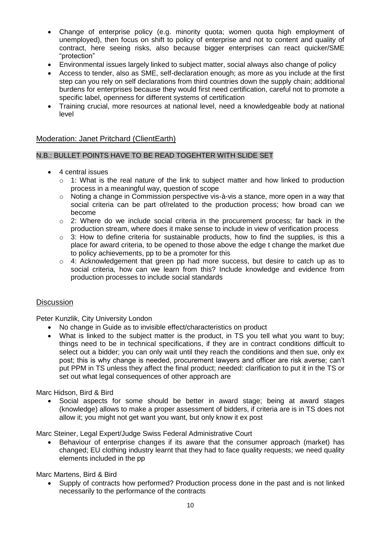- Change of enterprise policy (e.g. minority quota; women quota high employment of unemployed), then focus on shift to policy of enterprise and not to content and quality of contract, here seeing risks, also because bigger enterprises can react quicker/SME "protection"
- Environmental issues largely linked to subject matter, social always also change of policy
- Access to tender, also as SME, self-declaration enough; as more as you include at the first step can you rely on self declarations from third countries down the supply chain; additional burdens for enterprises because they would first need certification, careful not to promote a specific label, openness for different systems of certification
- Training crucial, more resources at national level, need a knowledgeable body at national level

#### Moderation: Janet Pritchard (ClientEarth)

#### N.B.: BULLET POINTS HAVE TO BE READ TOGEHTER WITH SLIDE SET

- 4 central issues
	- $\circ$  1: What is the real nature of the link to subject matter and how linked to production process in a meaningful way, question of scope
	- o Noting a change in Commission perspective vis-à-vis a stance, more open in a way that social criteria can be part of/related to the production process; how broad can we become
	- $\circ$  2: Where do we include social criteria in the procurement process; far back in the production stream, where does it make sense to include in view of verification process
	- $\circ$  3: How to define criteria for sustainable products, how to find the supplies, is this a place for award criteria, to be opened to those above the edge t change the market due to policy achievements, pp to be a promoter for this
	- o 4: Acknowledgement that green pp had more success, but desire to catch up as to social criteria, how can we learn from this? Include knowledge and evidence from production processes to include social standards

#### **Discussion**

Peter Kunzlik, City University London

- No change in Guide as to invisible effect/characteristics on product
- What is linked to the subject matter is the product, in TS you tell what you want to buy; things need to be in technical specifications, if they are in contract conditions difficult to select out a bidder; you can only wait until they reach the conditions and then sue, only ex post; this is why change is needed, procurement lawyers and officer are risk averse; can't put PPM in TS unless they affect the final product; needed: clarification to put it in the TS or set out what legal consequences of other approach are

Marc Hidson, Bird & Bird

 Social aspects for some should be better in award stage; being at award stages (knowledge) allows to make a proper assessment of bidders, if criteria are is in TS does not allow it; you might not get want you want, but only know it ex post

Marc Steiner, Legal Expert/Judge Swiss Federal Administrative Court

• Behaviour of enterprise changes if its aware that the consumer approach (market) has changed; EU clothing industry learnt that they had to face quality requests; we need quality elements included in the pp

#### Marc Martens, Bird & Bird

• Supply of contracts how performed? Production process done in the past and is not linked necessarily to the performance of the contracts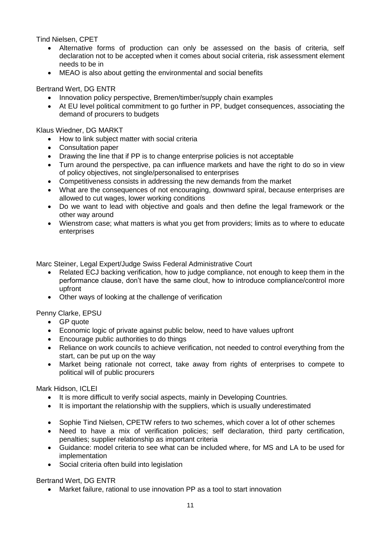Tind Nielsen, CPET

- Alternative forms of production can only be assessed on the basis of criteria, self declaration not to be accepted when it comes about social criteria, risk assessment element needs to be in
- MEAO is also about getting the environmental and social benefits

Bertrand Wert, DG ENTR

- Innovation policy perspective, Bremen/timber/supply chain examples
- At EU level political commitment to go further in PP, budget consequences, associating the demand of procurers to budgets

Klaus Wiedner, DG MARKT

- How to link subject matter with social criteria
- Consultation paper
- Drawing the line that if PP is to change enterprise policies is not acceptable
- Turn around the perspective, pa can influence markets and have the right to do so in view of policy objectives, not single/personalised to enterprises
- Competitiveness consists in addressing the new demands from the market
- What are the consequences of not encouraging, downward spiral, because enterprises are allowed to cut wages, lower working conditions
- Do we want to lead with objective and goals and then define the legal framework or the other way around
- Wienstrom case; what matters is what you get from providers; limits as to where to educate enterprises

Marc Steiner, Legal Expert/Judge Swiss Federal Administrative Court

- Related ECJ backing verification, how to judge compliance, not enough to keep them in the performance clause, don't have the same clout, how to introduce compliance/control more upfront
- Other ways of looking at the challenge of verification

Penny Clarke, EPSU

- GP quote
- Economic logic of private against public below, need to have values upfront
- Encourage public authorities to do things
- Reliance on work councils to achieve verification, not needed to control everything from the start, can be put up on the way
- Market being rationale not correct, take away from rights of enterprises to compete to political will of public procurers

Mark Hidson, ICLEI

- It is more difficult to verify social aspects, mainly in Developing Countries.
- It is important the relationship with the suppliers, which is usually underestimated
- Sophie Tind Nielsen, CPETW refers to two schemes, which cover a lot of other schemes
- Need to have a mix of verification policies; self declaration, third party certification, penalties; supplier relationship as important criteria
- Guidance: model criteria to see what can be included where, for MS and LA to be used for implementation
- Social criteria often build into legislation

Bertrand Wert, DG ENTR

Market failure, rational to use innovation PP as a tool to start innovation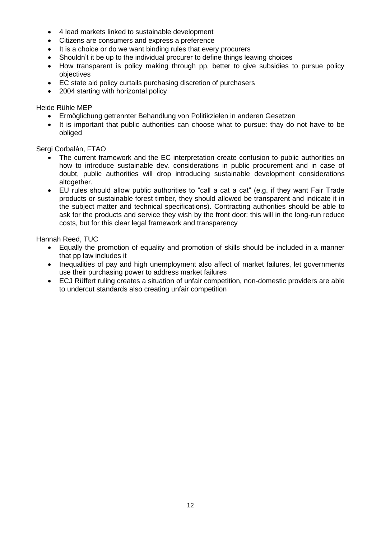- 4 lead markets linked to sustainable development
- Citizens are consumers and express a preference
- It is a choice or do we want binding rules that every procurers
- Shouldn't it be up to the individual procurer to define things leaving choices
- How transparent is policy making through pp, better to give subsidies to pursue policy objectives
- EC state aid policy curtails purchasing discretion of purchasers
- 2004 starting with horizontal policy

Heide Rühle MEP

- Ermöglichung getrennter Behandlung von Politikzielen in anderen Gesetzen
- It is important that public authorities can choose what to pursue: thay do not have to be obliged

Sergi Corbalán, FTAO

- The current framework and the EC interpretation create confusion to public authorities on how to introduce sustainable dev. considerations in public procurement and in case of doubt, public authorities will drop introducing sustainable development considerations altogether.
- EU rules should allow public authorities to "call a cat a cat" (e.g. if they want Fair Trade products or sustainable forest timber, they should allowed be transparent and indicate it in the subject matter and technical specifications). Contracting authorities should be able to ask for the products and service they wish by the front door: this will in the long-run reduce costs, but for this clear legal framework and transparency

Hannah Reed, TUC

- Equally the promotion of equality and promotion of skills should be included in a manner that pp law includes it
- Inequalities of pay and high unemployment also affect of market failures, let governments use their purchasing power to address market failures
- ECJ Rüffert ruling creates a situation of unfair competition, non-domestic providers are able to undercut standards also creating unfair competition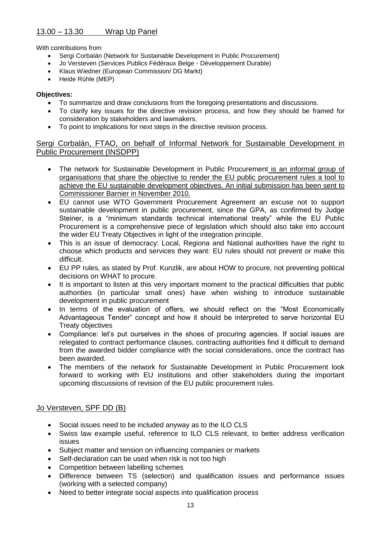### 13.00 – 13.30 Wrap Up Panel

With contributions from

- Sergi Corbalán (Network for Sustainable Development in Public Procurement)
- Jo Versteven (Services Publics Fédéraux Belge Développement Durable)
- Klaus Wiedner (European Commission/ DG Markt)
- Heide Rühle (MEP)

#### **Objectives:**

- To summarize and draw conclusions from the foregoing presentations and discussions.
- To clarify key issues for the directive revision process, and how they should be framed for consideration by stakeholders and lawmakers.
- To point to implications for next steps in the directive revision process.

### Sergi Corbalán, FTAO, on behalf of Informal Network for Sustainable Development in Public Procurement (INSDPP)

- The network for Sustainable Development in Public Procurement is an informal group of organisations that share the objective to render the EU public procurement rules a tool to achieve the EU sustainable development objectives. An initial submission has been sent to Commissioner Barnier in November 2010.
- EU cannot use WTO Government Procurement Agreement an excuse not to support sustainable development in public procurement, since the GPA, as confirmed by Judge Steiner, is a "minimum standards technical international treaty" while the EU Public Procurement is a comprehensive piece of legislation which should also take into account the wider EU Treaty Objectives in light of the integration principle.
- This is an issue of democracy: Local, Regiona and National authorities have the right to choose which products and services they want: EU rules should not prevent or make this difficult.
- EU PP rules, as stated by Prof. Kunzlik, are about HOW to procure, not preventing political decisions on WHAT to procure.
- It is important to listen at this very important moment to the practical difficulties that public authorities (in particular small ones) have when wishing to introduce sustainable development in public procurement
- In terms of the evaluation of offers, we should reflect on the "Most Economically Advantageous Tender" concept and how it should be interpreted to serve horizontal EU Treaty objectives
- Compliance: let's put ourselves in the shoes of procuring agencies. If social issues are relegated to contract performance clauses, contracting authorities find it difficult to demand from the awarded bidder compliance with the social considerations, once the contract has been awarded.
- The members of the network for Sustainable Development in Public Procurement look forward to working with EU institutions and other stakeholders during the important upcoming discussions of revision of the EU public procurement rules.

## Jo Versteven, SPF DD (B)

- Social issues need to be included anyway as to the ILO CLS
- Swiss law example useful, reference to ILO CLS relevant, to better address verification issues
- Subject matter and tension on influencing companies or markets
- Self-declaration can be used when risk is not too high
- Competition between labelling schemes
- Difference between TS (selection) and qualification issues and performance issues (working with a selected company)
- Need to better integrate social aspects into qualification process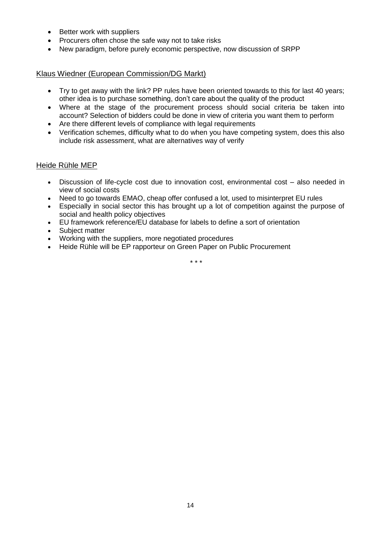- Better work with suppliers
- Procurers often chose the safe way not to take risks
- New paradigm, before purely economic perspective, now discussion of SRPP

#### Klaus Wiedner (European Commission/DG Markt)

- Try to get away with the link? PP rules have been oriented towards to this for last 40 years; other idea is to purchase something, don't care about the quality of the product
- Where at the stage of the procurement process should social criteria be taken into account? Selection of bidders could be done in view of criteria you want them to perform
- Are there different levels of compliance with legal requirements
- Verification schemes, difficulty what to do when you have competing system, does this also include risk assessment, what are alternatives way of verify

#### Heide Rühle MEP

- Discussion of life-cycle cost due to innovation cost, environmental cost also needed in view of social costs
- Need to go towards EMAO, cheap offer confused a lot, used to misinterpret EU rules
- Especially in social sector this has brought up a lot of competition against the purpose of social and health policy objectives
- EU framework reference/EU database for labels to define a sort of orientation
- Subiect matter
- Working with the suppliers, more negotiated procedures
- Heide Rühle will be EP rapporteur on Green Paper on Public Procurement

\* \* \*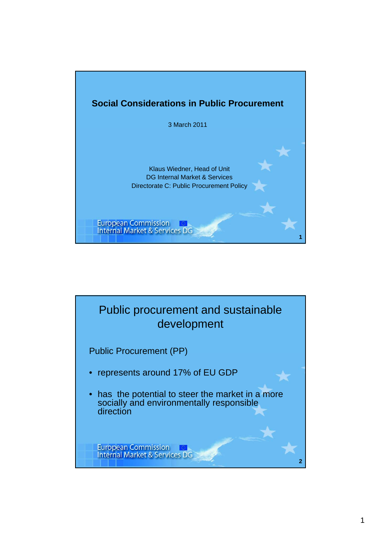

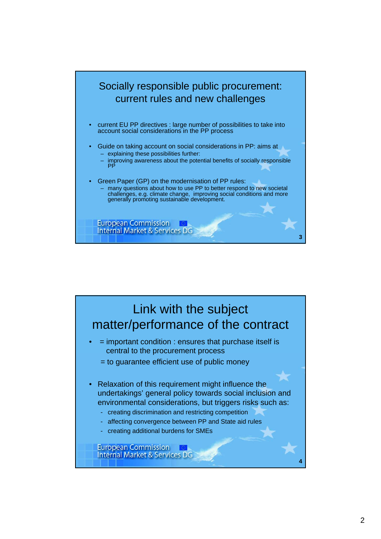

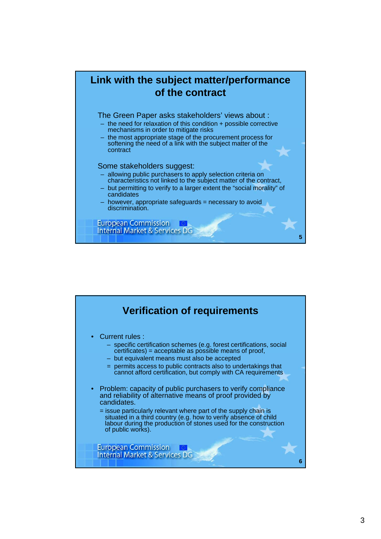

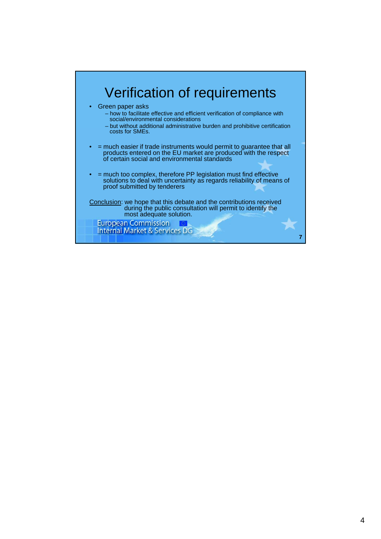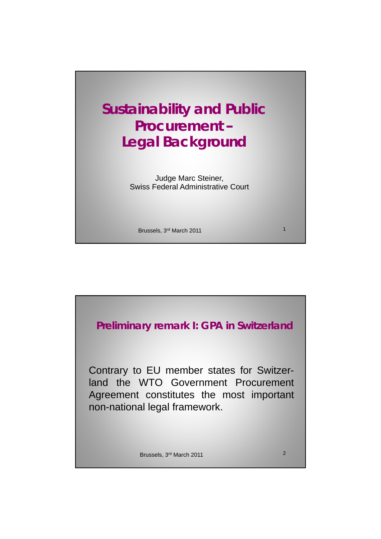

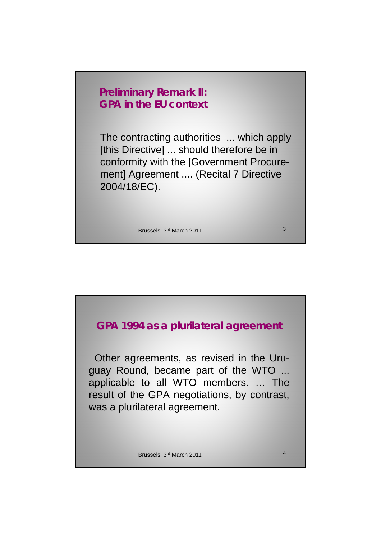# **Preliminary Remark II: GPA in the EU context**

The contracting authorities ... which apply [this Directive] ... should therefore be in conformity with the [Government Procurement] Agreement .... (Recital 7 Directive 2004/18/EC) 2004/18/EC).

Brussels, 3<sup>rd</sup> March 2011 3

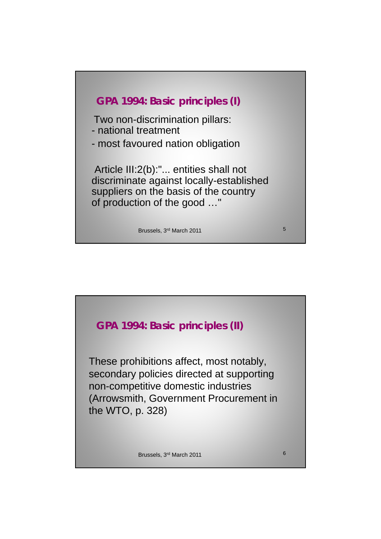

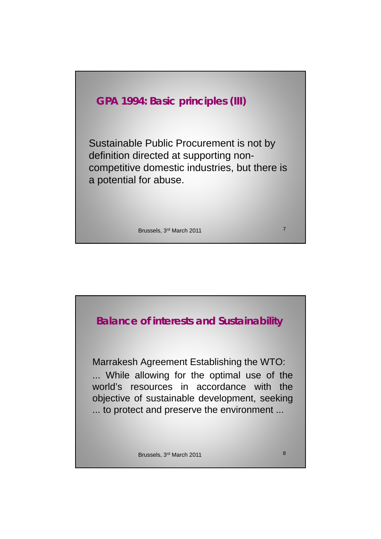

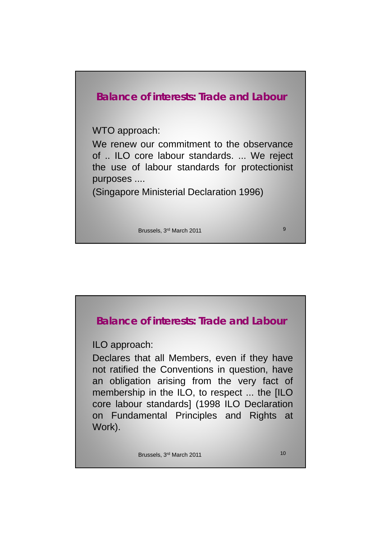

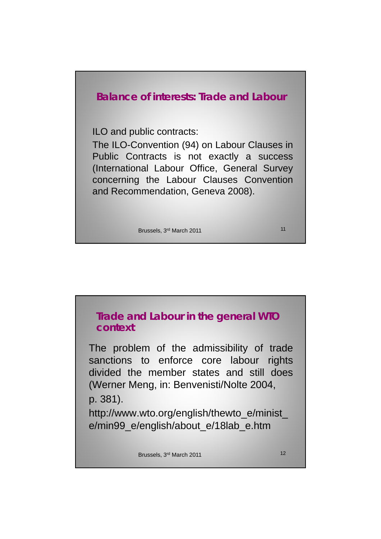

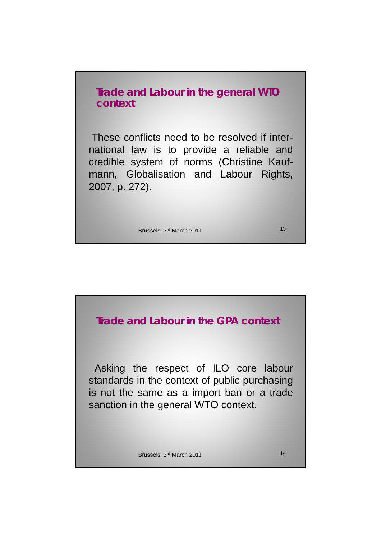**Trade and Labour in the general WTO context** 

These conflicts need to be resolved if international law is to provide a reliable and credible system of norms (Christine Kaufmann, Globalisation and Labour Rights, 2007, p. 272).

Brussels, 3<sup>rd</sup> March 2011 13

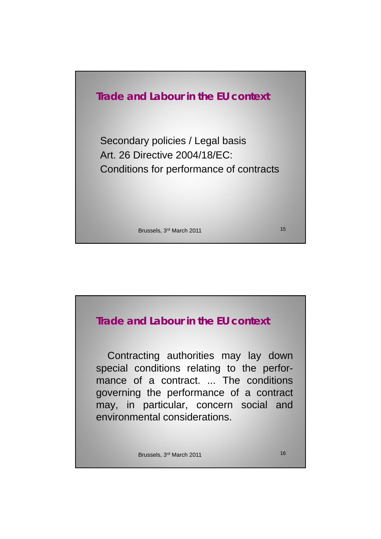

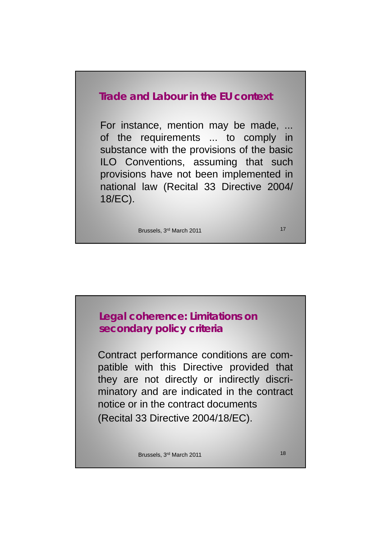# **Trade and Labour in the EU context**

For instance, mention may be made, ... of the requirements ... to comply in substance with the provisions of the basic ILO Conventions, assuming that such provisions have not been implemented in national law (Recital 33 Directive 2004/ 18/EC).

Brussels, 3rd March 2011 17

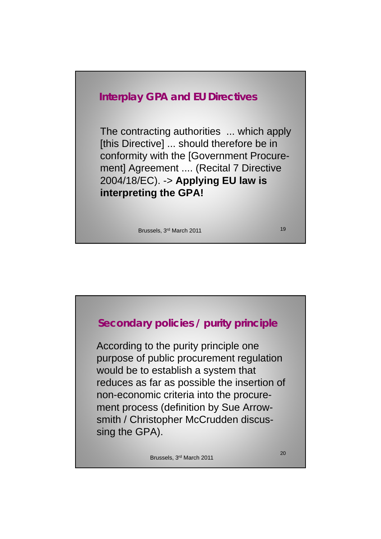

The contracting authorities ... which apply [this Directive] ... should therefore be in conformity with the [Government Procurement] Agreement .... (Recital 7 Directive 2004/18/EC). -> **Applying EU law is**  ) **y g interpreting the GPA!**

Brussels, 3rd March 2011 19

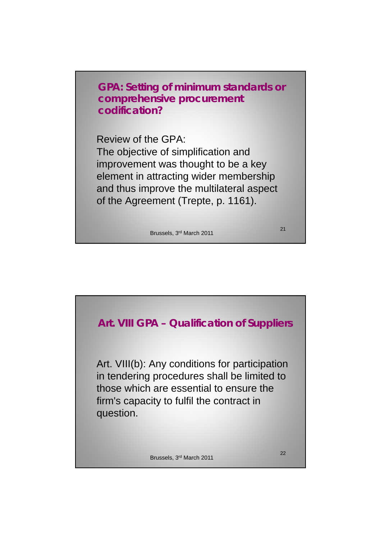**GPA: Setting of minimum standards or comprehensive procurement codification?**

Review of the GPA: The objective of simplification and improvement was thought to be a key element in attracting wider membership and thus improve the multilateral aspect of the Agreement (Trepte, p. 1161).

Brussels, 3rd March 2011

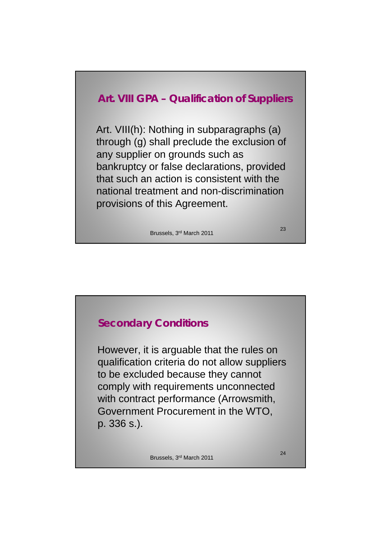# **Art. VIII GPA – Qualification of Suppliers**

Art. VIII(h): Nothing in subparagraphs (a) through (g) shall preclude the exclusion of any supplier on grounds such as bankruptcy or false declarations, provided that such an action is consistent with the national treatment and non-discrimination provisions of this Agreement.

Brussels, 3rd March 2011



# **Secondary Conditions** However, it is arguable that the rules on qualification criteria do not allow suppliers to be excluded because they cannot comply with requirements unconnected with contract performance (Arrowsmith, Government Procurement in the WTO Government Procurement in the WTO, p. 336 s.).

Brussels, 3rd March 2011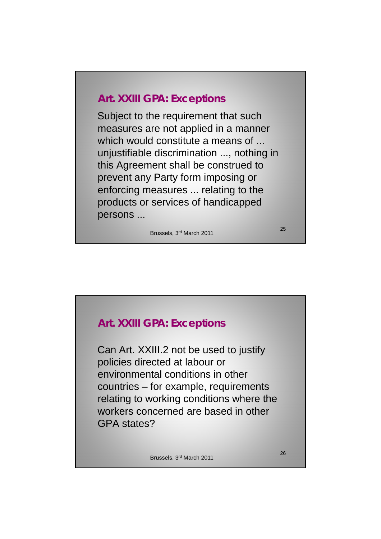# **Art. XXIII GPA: Exceptions**

Subject to the requirement that such measures are not applied in a manner which would constitute a means of ... unjustifiable discrimination ..., nothing in this Agreement shall be construed to prevent any Party form imposing or enforcing measures ... relating to the products or services of handicapped persons ...

Brussels, 3rd March 2011

25

# **Art. XXIII GPA: Exceptions**

Can Art. XXIII.2 not be used to justify policies directed at labour or environmental conditions in other countries – for example, requirements relating to working conditions where the workers concerned are based in other workers concerned are based in GPA states?

Brussels, 3rd March 2011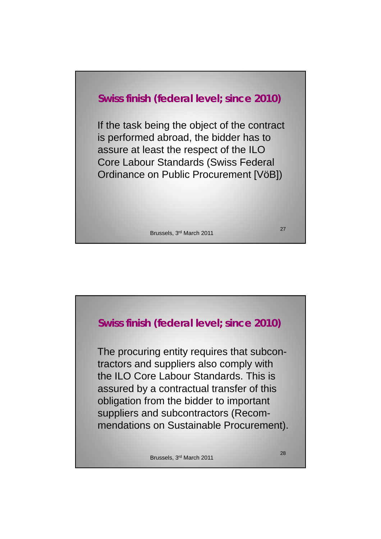# **Swiss finish (federal level; since 2010)**

If the task being the object of the contract is performed abroad, the bidder has to assure at least the respect of the ILO Core Labour Standards (Swiss Federal Ordinance on Public Procurement [VöB])

Brussels, 3rd March 2011

**Swiss finish (federal level; since 2010)** The procuring entity requires that subcontractors and suppliers also comply with the ILO Core Labour Standards. This is assured by a contractual transfer of this obligation from the bidder to important suppliers and subcontractors (Recommendations on Sustainable Procurement).

Brussels, 3rd March 2011

28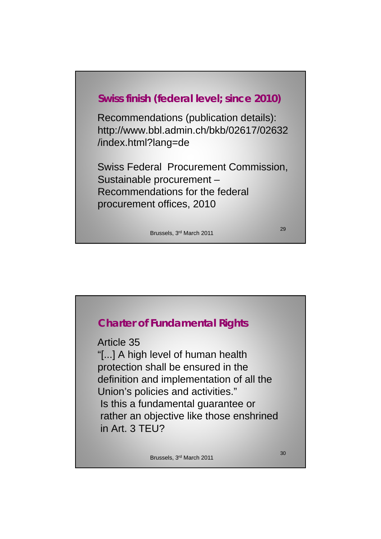

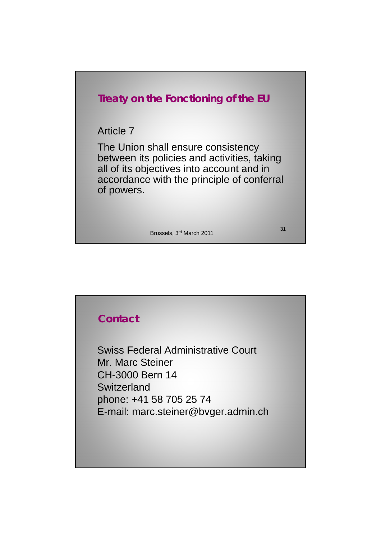

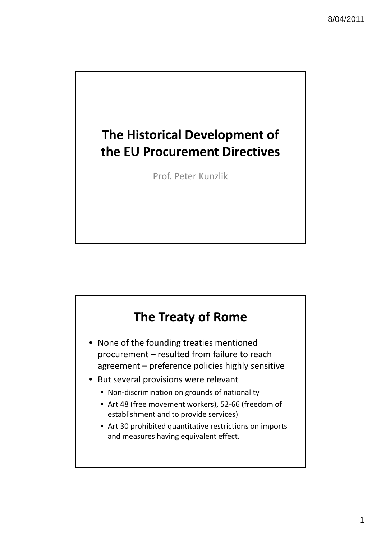# **The Historical Development of the EU Procurement Directives**

Prof. Peter Kunzlik

# **The Treaty of Rome**

- None of the founding treaties mentioned procurement – resulted from failure to reach agreement – preference policies highly sensitive
- But several provisions were relevant
	- Non-discrimination on grounds of nationality
	- Art 48 (free movement workers), 52‐66 (freedom of establishment and to provide services)
	- Art 30 prohibited quantitative restrictions on imports and measures having equivalent effect.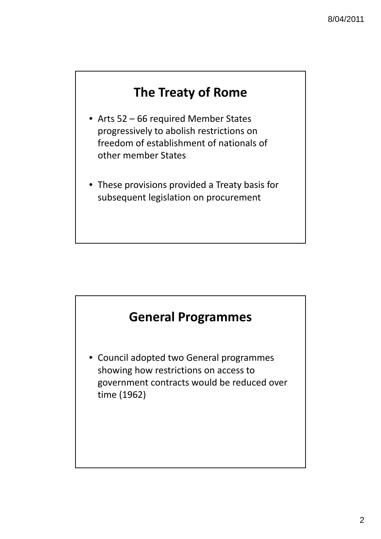# **The Treaty of Rome**

- Arts 52 66 required Member States progressively to abolish restrictions on freedom of establishment of nationals of other member States
- These provisions provided a Treaty basis for subsequent legislation on procurement

# **General Programmes**

• Council adopted two General programmes showing how restrictions on access to government contracts would be reduced over time (1962)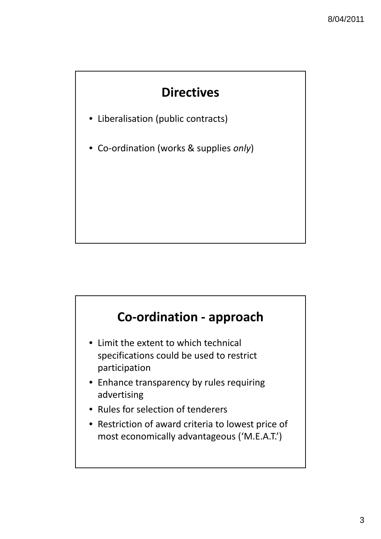# **Directives**

- Liberalisation (public contracts)
- Co‐ordination (works & supplies *only*)

# **Co‐ordination ‐ approach**

- Limit the extent to which technical specifications could be used to restrict participation
- Enhance transparency by rules requiring advertising
- Rules for selection of tenderers
- Restriction of award criteria to lowest price of most economically advantageous ('M.E.A.T.')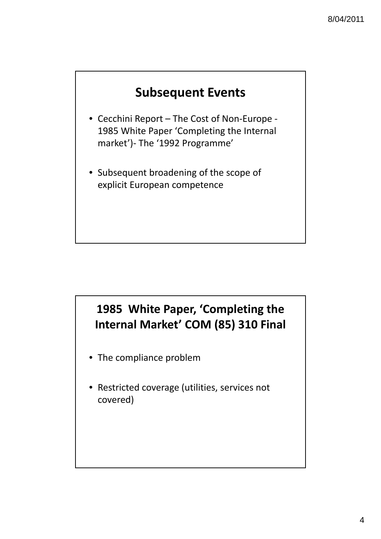

- Cecchini Report The Cost of Non‐Europe ‐ 1985 White Paper 'Completing the Internal market')‐ The '1992 Programme'
- Subsequent broadening of the scope of explicit European competence

# **1985 White Paper, 'Completing the Internal Market' COM (85) 310 Final**

- The compliance problem
- Restricted coverage (utilities, services not covered)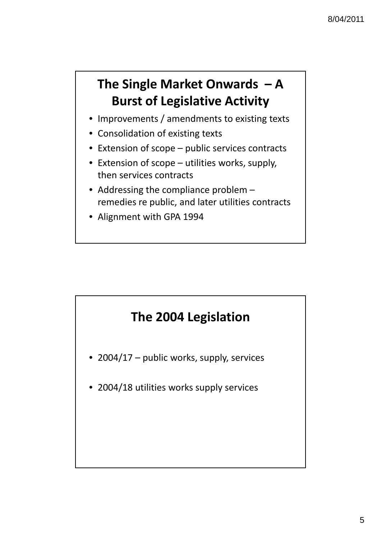# **The Single Market Onwards – A Burst of Legislative Activity**

- Improvements / amendments to existing texts
- Consolidation of existing texts
- Extension of scope public services contracts
- Extension of scope utilities works, supply, then services contracts
- Addressing the compliance problem remedies re public, and later utilities contracts
- Alignment with GPA 1994

# **The 2004 Legislation**

- 2004/17 public works, supply, services
- 2004/18 utilities works supply services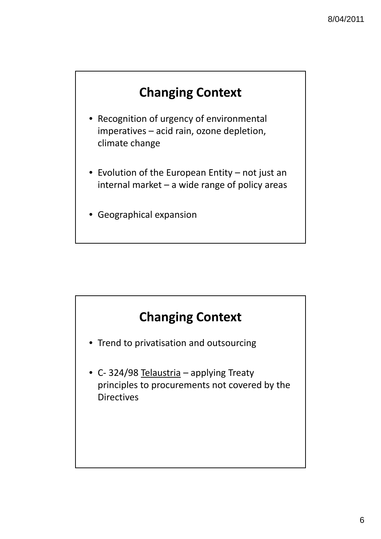# **Changing Context**

- Recognition of urgency of environmental imperatives – acid rain, ozone depletion, climate change
- Evolution of the European Entity not just an internal market – a wide range of policy areas
- Geographical expansion



- Trend to privatisation and outsourcing
- C-324/98 Telaustria applying Treaty principles to procurements not covered by the **Directives**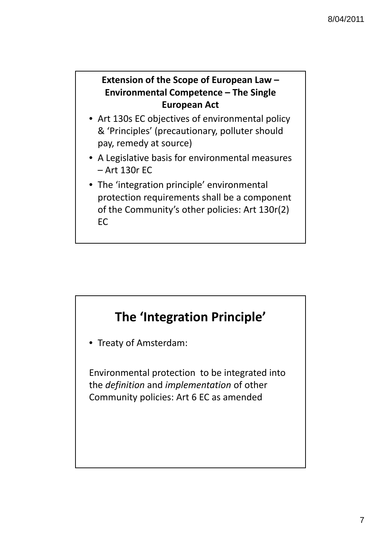# **Extension of the Scope of European Law – Environmental Competence – The Single European Act**

- Art 130s EC objectives of environmental policy & 'Principles' (precautionary, polluter should pay, remedy at source)
- A Legislative basis for environmental measures – Art 130r EC
- The 'integration principle' environmental protection requirements shall be a component of the Community's other policies: Art 130r(2) EC

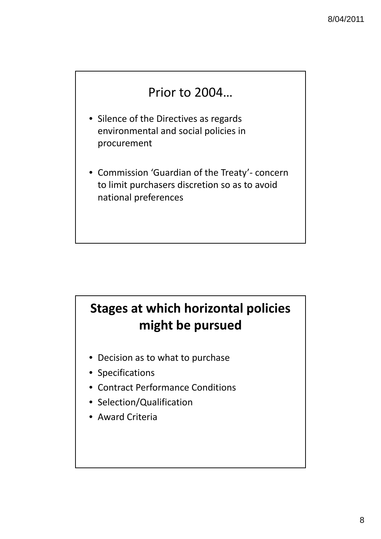# Prior to 2004…

- Silence of the Directives as regards environmental and social policies in procurement
- Commission 'Guardian of the Treaty'‐ concern to limit purchasers discretion so as to avoid national preferences

# **Stages at which horizontal policies might be pursued**

- Decision as to what to purchase
- Specifications
- Contract Performance Conditions
- Selection/Qualification
- Award Criteria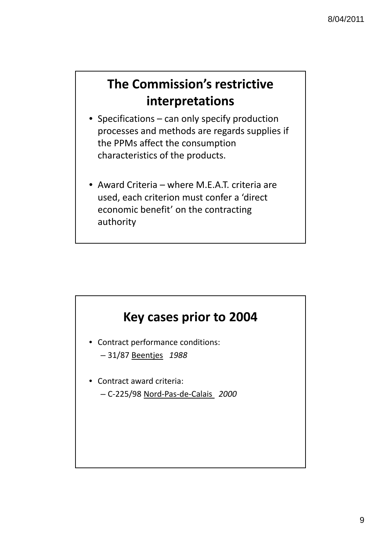# **The Commission's restrictive interpretations**

- Specifications can only specify production processes and methods are regards supplies if the PPMs affect the consumption characteristics of the products.
- Award Criteria where M.E.A.T. criteria are used, each criterion must confer a 'direct economic benefit' on the contracting authority

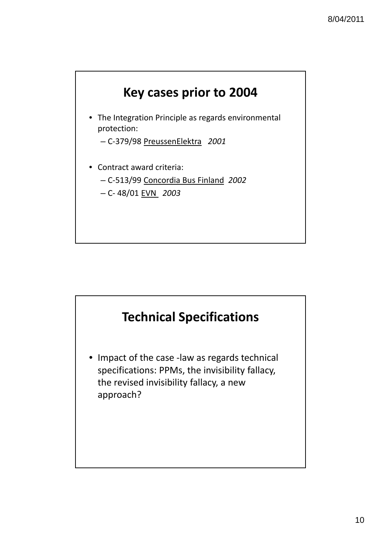